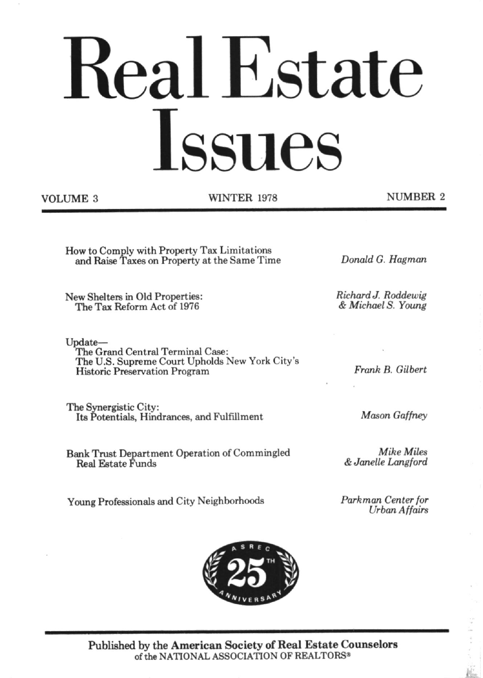# Real Estate Issues

**VOLUME 3** 

**WINTER 1978** 

**NUMBER 2** 

How to Comply with Property Tax Limitations and Raise Taxes on Property at the Same Time

New Shelters in Old Properties: The Tax Reform Act of 1976

Update-The Grand Central Terminal Case: The U.S. Supreme Court Upholds New York City's **Historic Preservation Program** 

The Synergistic City: Its Potentials, Hindrances, and Fulfillment

Bank Trust Department Operation of Commingled Real Estate Funds

Young Professionals and City Neighborhoods

Frank B. Gilbert

Donald G. Hagman

Richard J. Roddewig

& Michael S. Young

**Mason Gaffney** 

Mike Miles & Janelle Langford

Parkman Center for **Urban Affairs** 



Published by the American Society of Real Estate Counselors of the NATIONAL ASSOCIATION OF REALTORS®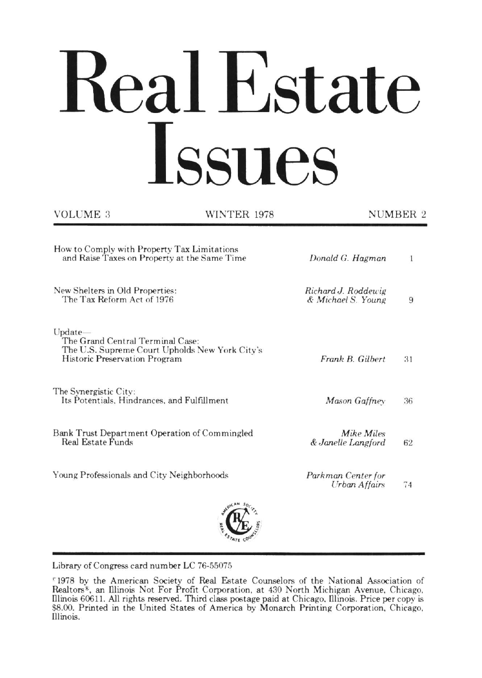# Real Estate Issues

| VOLUME 3                                                                                    | WINTER 1978                                    | NUMBER 2                                  |    |
|---------------------------------------------------------------------------------------------|------------------------------------------------|-------------------------------------------|----|
| How to Comply with Property Tax Limitations<br>and Raise Taxes on Property at the Same Time |                                                | Donald G. Hagman                          | 1  |
| New Shelters in Old Properties:<br>The Tax Reform Act of 1976                               |                                                | Richard J. Roddewig<br>& Michael S. Young | 9  |
| $Update-$<br>The Grand Central Terminal Case:<br><b>Historic Preservation Program</b>       | The U.S. Supreme Court Upholds New York City's | Frank B. Gilbert                          | 31 |
| The Synergistic City:<br>Its Potentials, Hindrances, and Fulfillment                        |                                                | Mason Gaffney                             | 36 |
| Bank Trust Department Operation of Commingled<br><b>Real Estate Funds</b>                   |                                                | Mike Miles<br>& Janelle Langford          | 62 |
| Young Professionals and City Neighborhoods                                                  |                                                | Parkman Center for<br>Urban Affairs       | 74 |
|                                                                                             |                                                |                                           |    |

Library of Congress card number LC 76-55075

<sup>&</sup>quot;1978 by the American Society of Real Estate Counselors of the National Association of Realtors<sup>8</sup>, an Illinois Not For Profit Corporation, at 430 North Michigan Avenue, Chicago, Illinois 60611. All rights reserved. Third class postage paid at Chicago, Illinois. Price per copy is \$8.00. Printed in the United States of America by Monarch Printing Corporation, Chicago, Illinois.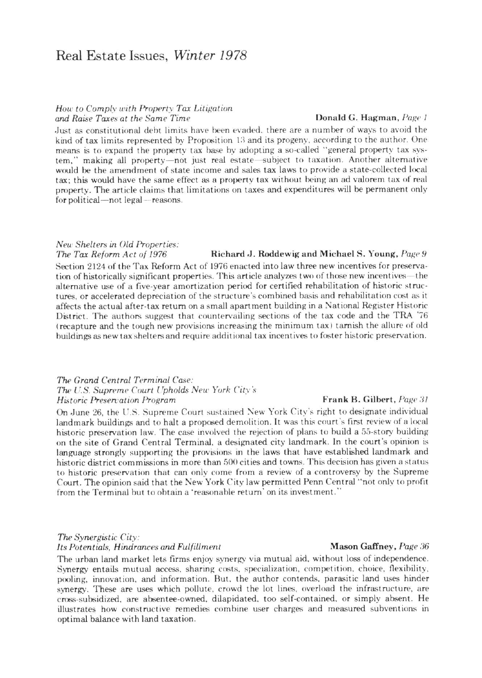# Real Estate Issues, Winter 1978

## How to Comply with Property Tax Litigation and Raise Taxes at the Same Time

#### Donald G. Hagman, Page 1

Just as constitutional debt limits have been evaded, there are a number of ways to avoid the kind of tax limits represented by Proposition 13 and its progeny, according to the author. One means is to expand the property tax base by adopting a so-called "general property tax system," making all property—not just real estate—subject to taxation. Another alternative would be the amendment of state income and sales tax laws to provide a state-collected local tax; this would have the same effect as a property tax without being an ad valorem tax of real property. The article claims that limitations on taxes and expenditures will be permanent only for political—not legal—reasons.

# New Shelters in Old Properties:

Richard J. Roddewig and Michael S. Young, Page 9 The Tax Reform Act of 1976 Section 2124 of the Tax Reform Act of 1976 enacted into law three new incentives for preservation of historically significant properties. This article analyzes two of those new incentives—the alternative use of a five-year amortization period for certified rehabilitation of historic structures, or accelerated depreciation of the structure's combined basis and rehabilitation cost as it affects the actual after-tax return on a small apartment building in a National Register Historic District. The authors suggest that countervailing sections of the tax code and the TRA '76 (recapture and the tough new provisions increasing the minimum tax) tarnish the allure of old buildings as new tax shelters and require additional tax incentives to foster historic preservation.

#### The Grand Central Terminal Case: The U.S. Supreme Court Upholds New York City's **Historic Preservation Program**

On June 26, the U.S. Supreme Court sustained New York City's right to designate individual landmark buildings and to halt a proposed demolition. It was this court's first review of a local historic preservation law. The case involved the rejection of plans to build a 55-story building on the site of Grand Central Terminal, a designated city landmark. In the court's opinion is language strongly supporting the provisions in the laws that have established landmark and historic district commissions in more than 500 cities and towns. This decision has given a status to historic preservation that can only come from a review of a controversy by the Supreme Court. The opinion said that the New York City law permitted Penn Central "not only to profit from the Terminal but to obtain a 'reasonable return' on its investment."

## The Synergistic City: Its Potentials, Hindrances and Fulfillment

The urban land market lets firms enjoy synergy via mutual aid, without loss of independence. Synergy entails mutual access, sharing costs, specialization, competition, choice, flexibility, pooling, innovation, and information. But, the author contends, parasitic land uses hinder synergy. These are uses which pollute, crowd the lot lines, overload the infrastructure, are cross-subsidized, are absentee-owned, dilapidated, too self-contained, or simply absent. He illustrates how constructive remedies combine user charges and measured subventions in optimal balance with land taxation.

#### Frank B. Gilbert, Page 31

#### Mason Gaffney, Page 36